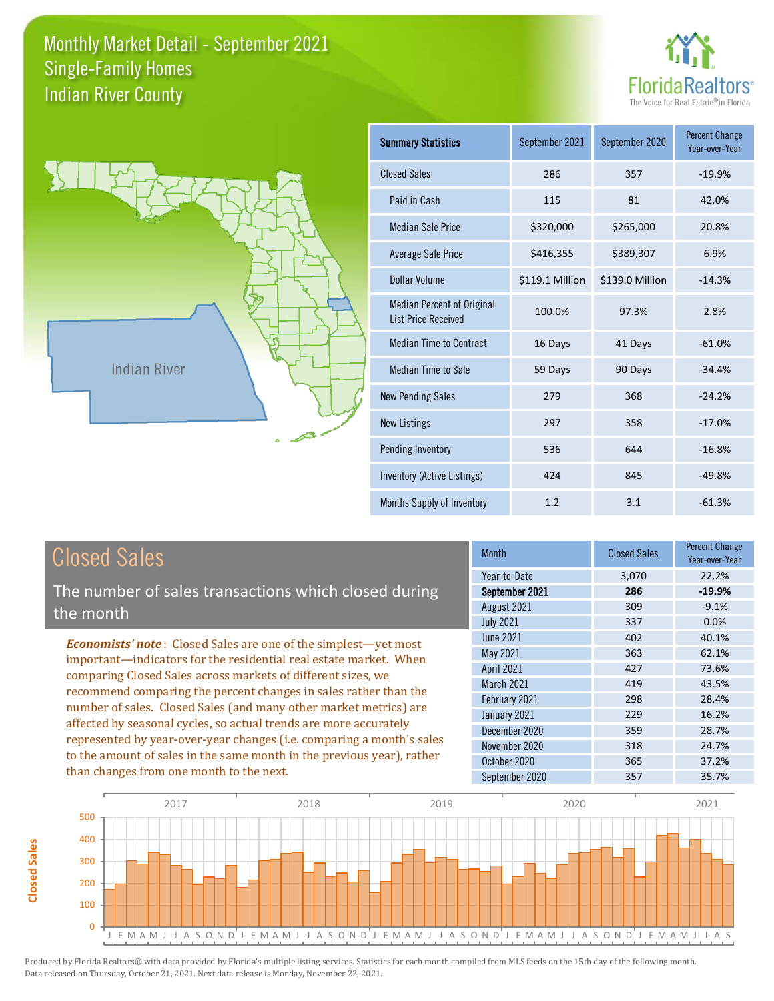



**Closed Sales**

**Closed Sales** 

| <b>Summary Statistics</b>                                       | September 2021  | September 2020  | <b>Percent Change</b><br>Year-over-Year |
|-----------------------------------------------------------------|-----------------|-----------------|-----------------------------------------|
| <b>Closed Sales</b>                                             | 286             | 357             | $-19.9%$                                |
| Paid in Cash                                                    | 115             | 81              | 42.0%                                   |
| <b>Median Sale Price</b>                                        | \$320,000       | \$265,000       | 20.8%                                   |
| Average Sale Price                                              | \$416,355       | \$389,307       | 6.9%                                    |
| Dollar Volume                                                   | \$119.1 Million | \$139.0 Million | $-14.3%$                                |
| <b>Median Percent of Original</b><br><b>List Price Received</b> | 100.0%          | 97.3%           | 2.8%                                    |
| <b>Median Time to Contract</b>                                  | 16 Days         | 41 Days         | $-61.0%$                                |
| Median Time to Sale                                             | 59 Days         | 90 Days         | $-34.4%$                                |
| <b>New Pending Sales</b>                                        | 279             | 368             | $-24.2%$                                |
| <b>New Listings</b>                                             | 297             | 358             | $-17.0%$                                |
| Pending Inventory                                               | 536             | 644             | $-16.8%$                                |
| Inventory (Active Listings)                                     | 424             | 845             | $-49.8%$                                |
| Months Supply of Inventory                                      | 1.2             | 3.1             | $-61.3%$                                |

| <b>Closed Sales</b>                                                    | <b>Month</b>      | <b>Closed Sales</b> | <b>Percent Change</b><br>Year-over-Year |
|------------------------------------------------------------------------|-------------------|---------------------|-----------------------------------------|
|                                                                        | Year-to-Date      | 3,070               | 22.2%                                   |
| The number of sales transactions which closed during                   | September 2021    | 286                 | $-19.9%$                                |
| the month                                                              | August 2021       | 309                 | $-9.1%$                                 |
|                                                                        | <b>July 2021</b>  | 337                 | 0.0%                                    |
| <b>Economists' note:</b> Closed Sales are one of the simplest—yet most | June 2021         | 402                 | 40.1%                                   |
| important—indicators for the residential real estate market. When      | May 2021          | 363                 | 62.1%                                   |
| comparing Closed Sales across markets of different sizes, we           | <b>April 2021</b> | 427                 | 73.6%                                   |
| recommend comparing the percent changes in sales rather than the       | <b>March 2021</b> | 419                 | 43.5%                                   |
| number of sales. Closed Sales (and many other market metrics) are      | February 2021     | 298                 | 28.4%                                   |
| affected by seasonal cycles, so actual trends are more accurately      | January 2021      | 229                 | 16.2%                                   |
|                                                                        | December 2020     | 359                 | 28.7%                                   |
| represented by year-over-year changes (i.e. comparing a month's sales  | November 2020     | 318                 | 24.7%                                   |
| to the amount of sales in the same month in the previous year), rather | October 2020      | 365                 | 37.2%                                   |
| than changes from one month to the next.                               | September 2020    | 357                 | 35.7%                                   |

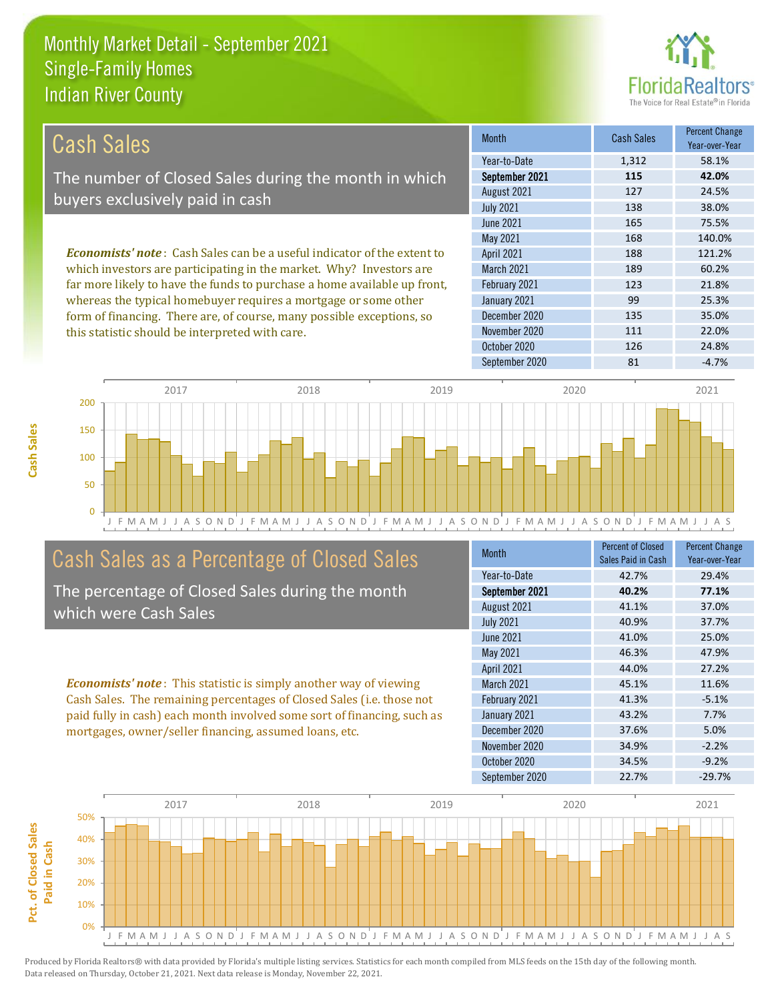this statistic should be interpreted with care.



111 22.0%

| Cash Sales                                                                      | <b>Month</b>      | <b>Cash Sales</b> | <b>Percent Change</b><br>Year-over-Year |
|---------------------------------------------------------------------------------|-------------------|-------------------|-----------------------------------------|
|                                                                                 | Year-to-Date      | 1,312             | 58.1%                                   |
| The number of Closed Sales during the month in which                            | September 2021    | 115               | 42.0%                                   |
| buyers exclusively paid in cash                                                 | August 2021       | 127               | 24.5%                                   |
|                                                                                 | <b>July 2021</b>  | 138               | 38.0%                                   |
|                                                                                 | June 2021         | 165               | 75.5%                                   |
|                                                                                 | May 2021          | 168               | 140.0%                                  |
| <b>Economists' note</b> : Cash Sales can be a useful indicator of the extent to | <b>April 2021</b> | 188               | 121.2%                                  |
| which investors are participating in the market. Why? Investors are             | <b>March 2021</b> | 189               | 60.2%                                   |
| far more likely to have the funds to purchase a home available up front,        | February 2021     | 123               | 21.8%                                   |
| whereas the typical homebuyer requires a mortgage or some other                 | January 2021      | 99                | 25.3%                                   |
| form of financing. There are, of course, many possible exceptions, so           | December 2020     | 135               | 35.0%                                   |



# Cash Sales as a Percentage of Closed Sales

The percentage of Closed Sales during the month which were Cash Sales

*Economists' note* : This statistic is simply another way of viewing Cash Sales. The remaining percentages of Closed Sales (i.e. those not paid fully in cash) each month involved some sort of financing, such as mortgages, owner/seller financing, assumed loans, etc.

| Month             | <b>Percent of Closed</b><br>Sales Paid in Cash | <b>Percent Change</b><br>Year-over-Year |
|-------------------|------------------------------------------------|-----------------------------------------|
| Year-to-Date      | 42.7%                                          | 29.4%                                   |
| September 2021    | 40.2%                                          | 77.1%                                   |
| August 2021       | 41.1%                                          | 37.0%                                   |
| <b>July 2021</b>  | 40.9%                                          | 37.7%                                   |
| <b>June 2021</b>  | 41.0%                                          | 25.0%                                   |
| May 2021          | 46.3%                                          | 47.9%                                   |
| <b>April 2021</b> | 44.0%                                          | 27.2%                                   |
| <b>March 2021</b> | 45.1%                                          | 11.6%                                   |
| February 2021     | 41.3%                                          | $-5.1%$                                 |
| January 2021      | 43.2%                                          | 7.7%                                    |
| December 2020     | 37.6%                                          | 5.0%                                    |
| November 2020     | 34.9%                                          | $-2.2%$                                 |
| October 2020      | 34.5%                                          | $-9.2%$                                 |
| September 2020    | 22.7%                                          | $-29.7%$                                |

October 2020 126 126 24.8%

November 2020

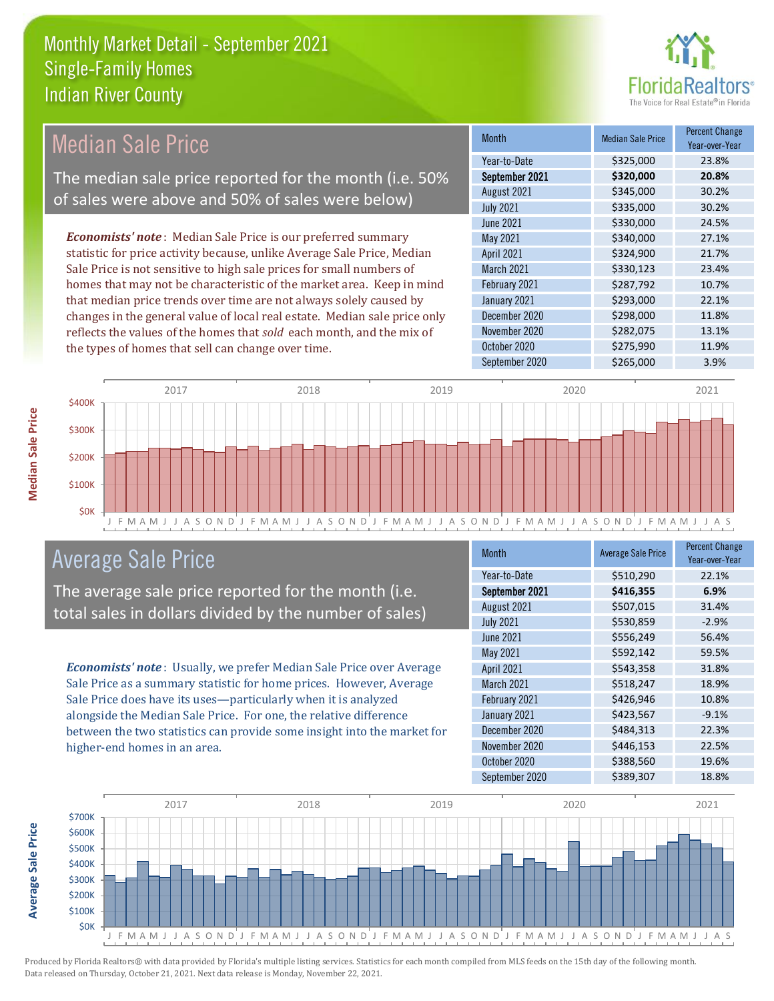

# Median Sale Price

The median sale price reported for the month (i.e. 50% of sales were above and 50% of sales were below)

*Economists' note* : Median Sale Price is our preferred summary statistic for price activity because, unlike Average Sale Price, Median Sale Price is not sensitive to high sale prices for small numbers of homes that may not be characteristic of the market area. Keep in mind that median price trends over time are not always solely caused by changes in the general value of local real estate. Median sale price only reflects the values of the homes that *sold* each month, and the mix of the types of homes that sell can change over time.

| <b>Month</b>      | <b>Median Sale Price</b> | <b>Percent Change</b><br>Year-over-Year |
|-------------------|--------------------------|-----------------------------------------|
| Year-to-Date      | \$325,000                | 23.8%                                   |
| September 2021    | \$320,000                | 20.8%                                   |
| August 2021       | \$345,000                | 30.2%                                   |
| <b>July 2021</b>  | \$335,000                | 30.2%                                   |
| <b>June 2021</b>  | \$330,000                | 24.5%                                   |
| May 2021          | \$340,000                | 27.1%                                   |
| April 2021        | \$324,900                | 21.7%                                   |
| <b>March 2021</b> | \$330,123                | 23.4%                                   |
| February 2021     | \$287,792                | 10.7%                                   |
| January 2021      | \$293,000                | 22.1%                                   |
| December 2020     | \$298,000                | 11.8%                                   |
| November 2020     | \$282,075                | 13.1%                                   |
| October 2020      | \$275,990                | 11.9%                                   |
| September 2020    | \$265,000                | 3.9%                                    |



## Average Sale Price

The average sale price reported for the month (i.e. total sales in dollars divided by the number of sales)

*Economists' note* : Usually, we prefer Median Sale Price over Average Sale Price as a summary statistic for home prices. However, Average Sale Price does have its uses—particularly when it is analyzed alongside the Median Sale Price. For one, the relative difference between the two statistics can provide some insight into the market for higher-end homes in an area.

| <b>Month</b>      | <b>Average Sale Price</b> | <b>Percent Change</b><br>Year-over-Year |
|-------------------|---------------------------|-----------------------------------------|
| Year-to-Date      | \$510,290                 | 22.1%                                   |
| September 2021    | \$416,355                 | 6.9%                                    |
| August 2021       | \$507,015                 | 31.4%                                   |
| <b>July 2021</b>  | \$530,859                 | $-2.9%$                                 |
| <b>June 2021</b>  | \$556,249                 | 56.4%                                   |
| May 2021          | \$592,142                 | 59.5%                                   |
| <b>April 2021</b> | \$543,358                 | 31.8%                                   |
| <b>March 2021</b> | \$518,247                 | 18.9%                                   |
| February 2021     | \$426,946                 | 10.8%                                   |
| January 2021      | \$423,567                 | $-9.1%$                                 |
| December 2020     | \$484,313                 | 22.3%                                   |
| November 2020     | \$446,153                 | 22.5%                                   |
| October 2020      | \$388,560                 | 19.6%                                   |
| September 2020    | \$389,307                 | 18.8%                                   |



**Median Sale Price**

**Median Sale Price**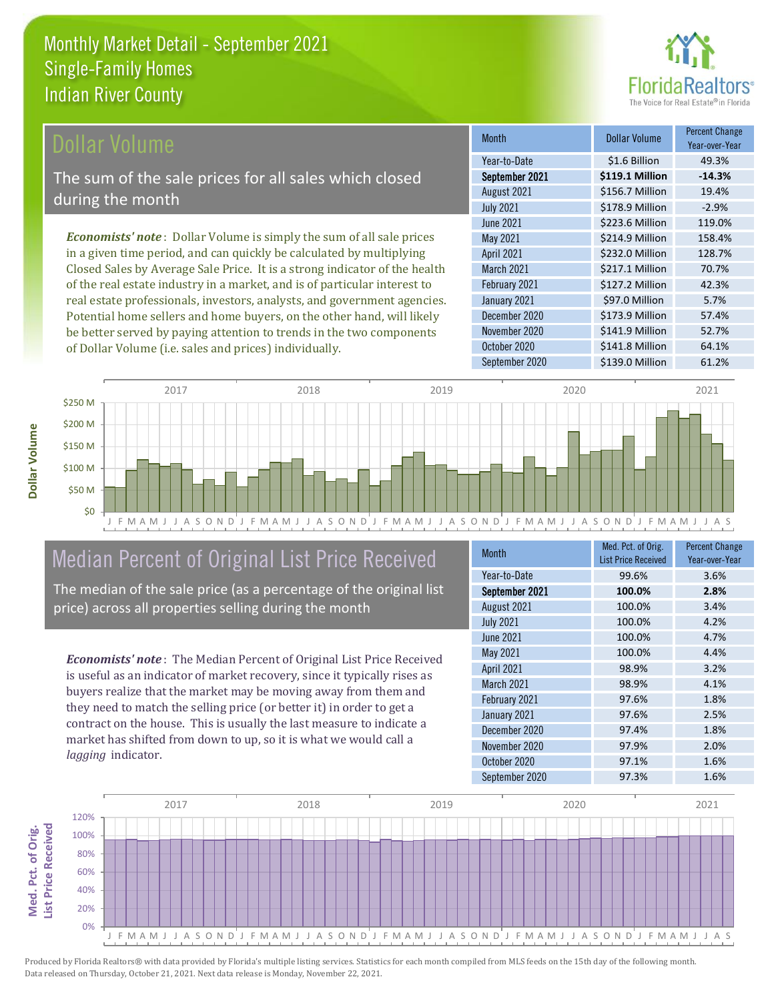

#### **Ollar Volume**

The sum of the sale prices for all sales which closed during the month

*Economists' note* : Dollar Volume is simply the sum of all sale prices in a given time period, and can quickly be calculated by multiplying Closed Sales by Average Sale Price. It is a strong indicator of the health of the real estate industry in a market, and is of particular interest to real estate professionals, investors, analysts, and government agencies. Potential home sellers and home buyers, on the other hand, will likely be better served by paying attention to trends in the two components of Dollar Volume (i.e. sales and prices) individually.

| <b>Month</b>      | Dollar Volume   | <b>Percent Change</b><br>Year-over-Year |
|-------------------|-----------------|-----------------------------------------|
| Year-to-Date      | \$1.6 Billion   | 49.3%                                   |
| September 2021    | \$119.1 Million | $-14.3%$                                |
| August 2021       | \$156.7 Million | 19.4%                                   |
| <b>July 2021</b>  | \$178.9 Million | $-2.9%$                                 |
| <b>June 2021</b>  | \$223.6 Million | 119.0%                                  |
| May 2021          | \$214.9 Million | 158.4%                                  |
| <b>April 2021</b> | \$232.0 Million | 128.7%                                  |
| <b>March 2021</b> | \$217.1 Million | 70.7%                                   |
| February 2021     | \$127.2 Million | 42.3%                                   |
| January 2021      | \$97.0 Million  | 5.7%                                    |
| December 2020     | \$173.9 Million | 57.4%                                   |
| November 2020     | \$141.9 Million | 52.7%                                   |
| October 2020      | \$141.8 Million | 64.1%                                   |
| September 2020    | \$139.0 Million | 61.2%                                   |



# Median Percent of Original List Price Received

The median of the sale price (as a percentage of the original list price) across all properties selling during the month

*Economists' note* : The Median Percent of Original List Price Received is useful as an indicator of market recovery, since it typically rises as buyers realize that the market may be moving away from them and they need to match the selling price (or better it) in order to get a contract on the house. This is usually the last measure to indicate a market has shifted from down to up, so it is what we would call a *lagging* indicator.

| <b>Month</b>      | Med. Pct. of Orig.<br><b>List Price Received</b> | <b>Percent Change</b><br>Year-over-Year |
|-------------------|--------------------------------------------------|-----------------------------------------|
| Year-to-Date      | 99.6%                                            | 3.6%                                    |
| September 2021    | 100.0%                                           | 2.8%                                    |
| August 2021       | 100.0%                                           | 3.4%                                    |
| <b>July 2021</b>  | 100.0%                                           | 4.2%                                    |
| <b>June 2021</b>  | 100.0%                                           | 4.7%                                    |
| May 2021          | 100.0%                                           | 4.4%                                    |
| <b>April 2021</b> | 98.9%                                            | 3.2%                                    |
| March 2021        | 98.9%                                            | 4.1%                                    |
| February 2021     | 97.6%                                            | 1.8%                                    |
| January 2021      | 97.6%                                            | 2.5%                                    |
| December 2020     | 97.4%                                            | 1.8%                                    |
| November 2020     | 97.9%                                            | 2.0%                                    |
| October 2020      | 97.1%                                            | 1.6%                                    |
| September 2020    | 97.3%                                            | 1.6%                                    |



Produced by Florida Realtors® with data provided by Florida's multiple listing services. Statistics for each month compiled from MLS feeds on the 15th day of the following month. Data released on Thursday, October 21, 2021. Next data release is Monday, November 22, 2021.

**Med. Pct. of Orig.** 

Med. Pct. of Orig.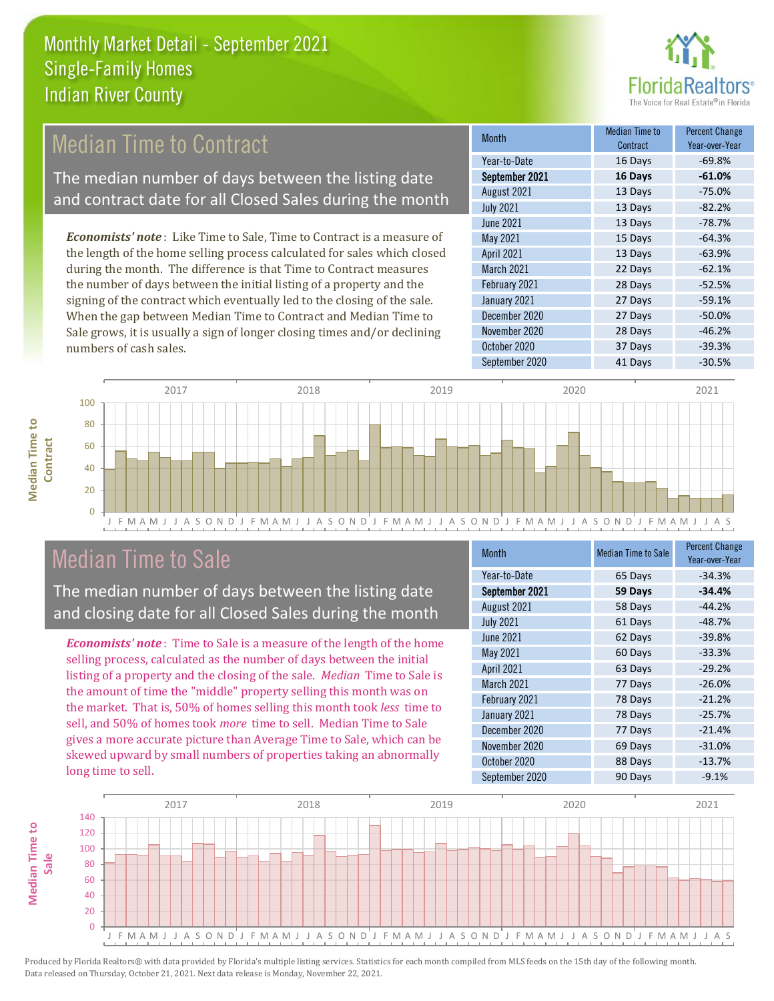

# **Median Time to Contract**

The median number of days between the listing date and contract date for all Closed Sales during the month

*Economists' note* : Like Time to Sale, Time to Contract is a measure of the length of the home selling process calculated for sales which closed during the month. The difference is that Time to Contract measures the number of days between the initial listing of a property and the signing of the contract which eventually led to the closing of the sale. When the gap between Median Time to Contract and Median Time to Sale grows, it is usually a sign of longer closing times and/or declining numbers of cash sales.

| Month             | <b>Median Time to</b><br>Contract | <b>Percent Change</b><br>Year-over-Year |
|-------------------|-----------------------------------|-----------------------------------------|
| Year-to-Date      | 16 Days                           | $-69.8%$                                |
| September 2021    | 16 Days                           | $-61.0%$                                |
| August 2021       | 13 Days                           | $-75.0%$                                |
| <b>July 2021</b>  | 13 Days                           | $-82.2%$                                |
| <b>June 2021</b>  | 13 Days                           | $-78.7%$                                |
| May 2021          | 15 Days                           | $-64.3%$                                |
| <b>April 2021</b> | 13 Days                           | $-63.9%$                                |
| <b>March 2021</b> | 22 Days                           | $-62.1%$                                |
| February 2021     | 28 Days                           | $-52.5%$                                |
| January 2021      | 27 Days                           | $-59.1%$                                |
| December 2020     | 27 Days                           | $-50.0%$                                |
| November 2020     | 28 Days                           | $-46.2%$                                |
| October 2020      | 37 Days                           | $-39.3%$                                |
| September 2020    | 41 Days                           | $-30.5%$                                |



## Median Time to Sale

**Median Time to Contract**

**Median Time to** 

The median number of days between the listing date and closing date for all Closed Sales during the month

*Economists' note* : Time to Sale is a measure of the length of the home selling process, calculated as the number of days between the initial listing of a property and the closing of the sale. *Median* Time to Sale is the amount of time the "middle" property selling this month was on the market. That is, 50% of homes selling this month took *less* time to sell, and 50% of homes took *more* time to sell. Median Time to Sale gives a more accurate picture than Average Time to Sale, which can be skewed upward by small numbers of properties taking an abnormally long time to sell.

| <b>Month</b>      | <b>Median Time to Sale</b> | <b>Percent Change</b><br>Year-over-Year |
|-------------------|----------------------------|-----------------------------------------|
| Year-to-Date      | 65 Days                    | $-34.3%$                                |
| September 2021    | 59 Days                    | $-34.4%$                                |
| August 2021       | 58 Days                    | $-44.2%$                                |
| <b>July 2021</b>  | 61 Days                    | $-48.7%$                                |
| June 2021         | 62 Days                    | $-39.8%$                                |
| <b>May 2021</b>   | 60 Days                    | $-33.3%$                                |
| <b>April 2021</b> | 63 Days                    | $-29.2%$                                |
| <b>March 2021</b> | 77 Days                    | $-26.0%$                                |
| February 2021     | 78 Days                    | $-21.2%$                                |
| January 2021      | 78 Days                    | $-25.7%$                                |
| December 2020     | 77 Days                    | $-21.4%$                                |
| November 2020     | 69 Days                    | $-31.0%$                                |
| October 2020      | 88 Days                    | $-13.7%$                                |
| September 2020    | 90 Days                    | $-9.1%$                                 |

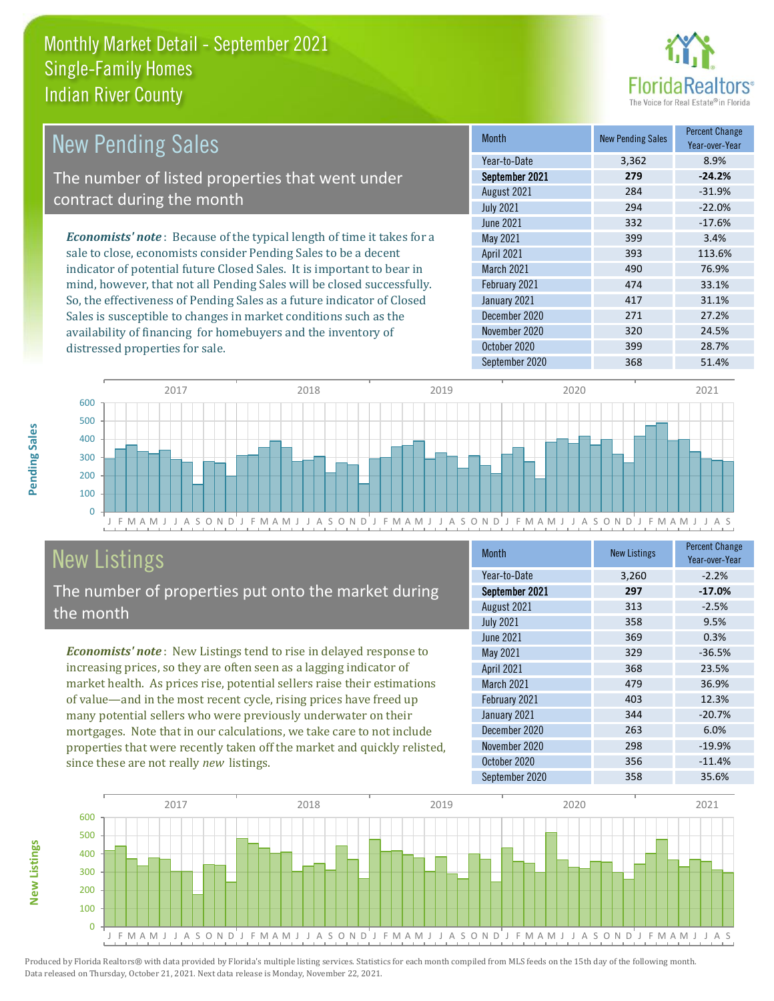

| New Pending Sales                                                             | <b>Month</b>      | <b>New Pending Sales</b> | <b>Percent Change</b><br>Year-over-Year |
|-------------------------------------------------------------------------------|-------------------|--------------------------|-----------------------------------------|
|                                                                               | Year-to-Date      | 3,362                    | 8.9%                                    |
| The number of listed properties that went under                               | September 2021    | 279                      | $-24.2%$                                |
| contract during the month                                                     | August 2021       | 284                      | $-31.9%$                                |
|                                                                               | <b>July 2021</b>  | 294                      | $-22.0%$                                |
|                                                                               | June 2021         | 332                      | $-17.6%$                                |
| <b>Economists' note:</b> Because of the typical length of time it takes for a | May 2021          | 399                      | 3.4%                                    |
| sale to close, economists consider Pending Sales to be a decent               | <b>April 2021</b> | 393                      | 113.6%                                  |
| indicator of potential future Closed Sales. It is important to bear in        | <b>March 2021</b> | 490                      | 76.9%                                   |
| mind, however, that not all Pending Sales will be closed successfully.        | February 2021     | 474                      | 33.1%                                   |
| So, the effectiveness of Pending Sales as a future indicator of Closed        | January 2021      | 417                      | 31.1%                                   |
| Sales is susceptible to changes in market conditions such as the              | December 2020     | 271                      | 27.2%                                   |
| availability of financing for homebuyers and the inventory of                 | November 2020     | 320                      | 24.5%                                   |



# New Listings

distressed properties for sale.

The number of properties put onto the market during the month

availability of financing for homebuyers and the inventory of

*Economists' note* : New Listings tend to rise in delayed response to increasing prices, so they are often seen as a lagging indicator of market health. As prices rise, potential sellers raise their estimations of value—and in the most recent cycle, rising prices have freed up many potential sellers who were previously underwater on their mortgages. Note that in our calculations, we take care to not include properties that were recently taken off the market and quickly relisted, since these are not really *new* listings.

| <b>Month</b>      | <b>New Listings</b> | <b>Percent Change</b><br>Year-over-Year |
|-------------------|---------------------|-----------------------------------------|
| Year-to-Date      | 3,260               | $-2.2%$                                 |
| September 2021    | 297                 | $-17.0%$                                |
| August 2021       | 313                 | $-2.5%$                                 |
| <b>July 2021</b>  | 358                 | 9.5%                                    |
| <b>June 2021</b>  | 369                 | 0.3%                                    |
| May 2021          | 329                 | $-36.5%$                                |
| <b>April 2021</b> | 368                 | 23.5%                                   |
| <b>March 2021</b> | 479                 | 36.9%                                   |
| February 2021     | 403                 | 12.3%                                   |
| January 2021      | 344                 | $-20.7%$                                |
| December 2020     | 263                 | 6.0%                                    |
| November 2020     | 298                 | $-19.9%$                                |
| October 2020      | 356                 | $-11.4%$                                |
| September 2020    | 358                 | 35.6%                                   |

September 2020 368 51.4%

October 2020 399 28.7%



Pending Sales

**New Listings**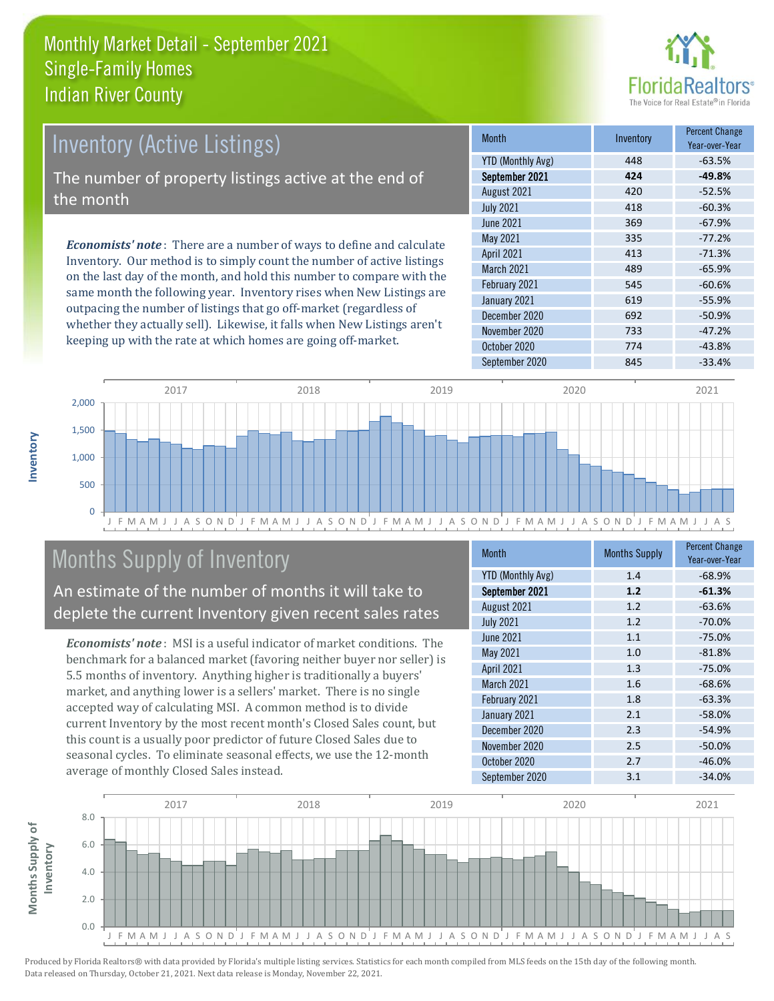

# *Economists' note* : There are a number of ways to define and calculate Inventory (Active Listings) The number of property listings active at the end of the month

Inventory. Our method is to simply count the number of active listings on the last day of the month, and hold this number to compare with the same month the following year. Inventory rises when New Listings are outpacing the number of listings that go off-market (regardless of whether they actually sell). Likewise, it falls when New Listings aren't keeping up with the rate at which homes are going off-market.

| <b>Month</b>             | Inventory | <b>Percent Change</b><br>Year-over-Year |
|--------------------------|-----------|-----------------------------------------|
| <b>YTD (Monthly Avg)</b> | 448       | $-63.5%$                                |
| September 2021           | 424       | $-49.8%$                                |
| August 2021              | 420       | $-52.5%$                                |
| <b>July 2021</b>         | 418       | $-60.3%$                                |
| <b>June 2021</b>         | 369       | $-67.9%$                                |
| May 2021                 | 335       | $-77.2%$                                |
| <b>April 2021</b>        | 413       | $-71.3%$                                |
| <b>March 2021</b>        | 489       | $-65.9%$                                |
| February 2021            | 545       | $-60.6%$                                |
| January 2021             | 619       | $-55.9%$                                |
| December 2020            | 692       | $-50.9%$                                |
| November 2020            | 733       | $-47.2%$                                |
| October 2020             | 774       | $-43.8%$                                |
| September 2020           | 845       | $-33.4%$                                |



# Months Supply of Inventory

An estimate of the number of months it will take to deplete the current Inventory given recent sales rates

*Economists' note* : MSI is a useful indicator of market conditions. The benchmark for a balanced market (favoring neither buyer nor seller) is 5.5 months of inventory. Anything higher is traditionally a buyers' market, and anything lower is a sellers' market. There is no single accepted way of calculating MSI. A common method is to divide current Inventory by the most recent month's Closed Sales count, but this count is a usually poor predictor of future Closed Sales due to seasonal cycles. To eliminate seasonal effects, we use the 12-month average of monthly Closed Sales instead.

| <b>Month</b>             | <b>Months Supply</b> | <b>Percent Change</b><br>Year-over-Year |
|--------------------------|----------------------|-----------------------------------------|
| <b>YTD (Monthly Avg)</b> | 1.4                  | $-68.9%$                                |
| September 2021           | 1.2                  | $-61.3%$                                |
| August 2021              | 1.2                  | $-63.6%$                                |
| <b>July 2021</b>         | 1.2                  | $-70.0%$                                |
| <b>June 2021</b>         | 1.1                  | $-75.0%$                                |
| May 2021                 | 1.0                  | $-81.8%$                                |
| <b>April 2021</b>        | 1.3                  | $-75.0%$                                |
| <b>March 2021</b>        | 1.6                  | $-68.6%$                                |
| February 2021            | 1.8                  | $-63.3%$                                |
| January 2021             | 2.1                  | $-58.0%$                                |
| December 2020            | 2.3                  | $-54.9%$                                |
| November 2020            | 2.5                  | $-50.0%$                                |
| October 2020             | 2.7                  | $-46.0%$                                |
| September 2020           | 3.1                  | $-34.0%$                                |

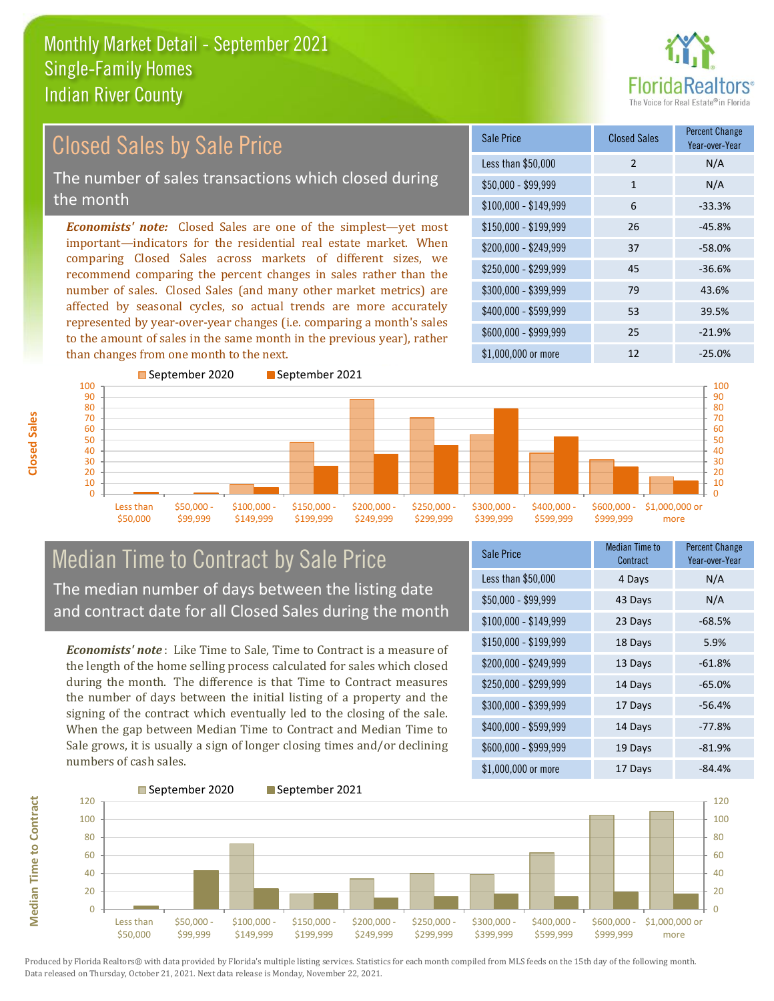

#### \$100,000 - \$149,999 6 -33.3% Sale Price Closed Sales Percent Change Year-over-Year Less than \$50,000 2 N/A  $$50,000 - $99,999$  1 N/A \$150,000 - \$199,999 26 -45.8% \$200,000 - \$249,999 37 -58.0% \$400,000 - \$599,999 53 39.5% \$600,000 - \$999,999 25 -21.9% *Economists' note:* Closed Sales are one of the simplest—yet most important—indicators for the residential real estate market. When comparing Closed Sales across markets of different sizes, we recommend comparing the percent changes in sales rather than the number of sales. Closed Sales (and many other market metrics) are affected by seasonal cycles, so actual trends are more accurately represented by year-over-year changes (i.e. comparing a month's sales to the amount of sales in the same month in the previous year), rather than changes from one month to the next. \$1,000,000 or more 12 -25.0% \$250,000 - \$299,999 45 -36.6% \$300,000 - \$399,999 79 43.6% September 2020 September 2021 Closed Sales by Sale Price The number of sales transactions which closed during the month



## Median Time to Contract by Sale Price The median number of days between the listing date and contract date for all Closed Sales during the month

*Economists' note* : Like Time to Sale, Time to Contract is a measure of the length of the home selling process calculated for sales which closed during the month. The difference is that Time to Contract measures the number of days between the initial listing of a property and the signing of the contract which eventually led to the closing of the sale. When the gap between Median Time to Contract and Median Time to Sale grows, it is usually a sign of longer closing times and/or declining numbers of cash sales.

| Sale Price            | <b>Median Time to</b><br>Contract | <b>Percent Change</b><br>Year-over-Year |
|-----------------------|-----------------------------------|-----------------------------------------|
| Less than \$50,000    | 4 Days                            | N/A                                     |
| $$50,000 - $99,999$   | 43 Days                           | N/A                                     |
| $$100,000 - $149,999$ | 23 Days                           | $-68.5%$                                |
| \$150,000 - \$199,999 | 18 Days                           | 5.9%                                    |
| \$200,000 - \$249,999 | 13 Days                           | $-61.8%$                                |
| \$250,000 - \$299,999 | 14 Days                           | $-65.0%$                                |
| \$300,000 - \$399,999 | 17 Days                           | $-56.4%$                                |
| \$400,000 - \$599,999 | 14 Days                           | $-77.8%$                                |
| \$600,000 - \$999,999 | 19 Days                           | $-81.9%$                                |
| \$1,000,000 or more   | 17 Days                           | $-84.4%$                                |

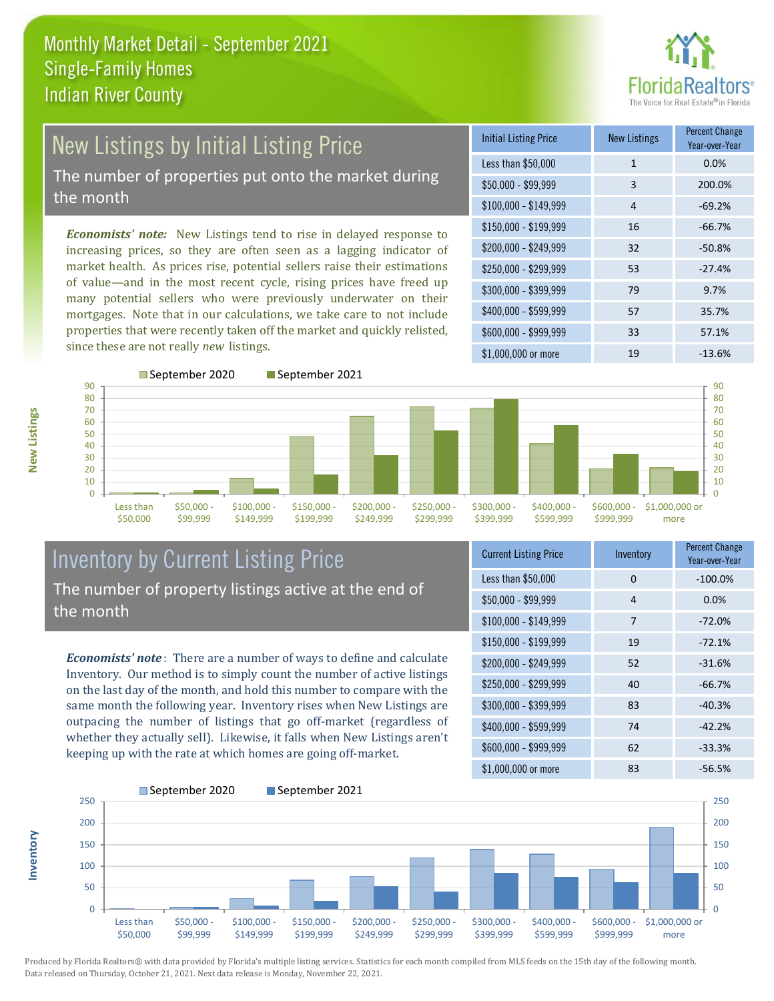

# New Listings by Initial Listing Price The number of properties put onto the market during

the month

*Economists' note:* New Listings tend to rise in delayed response to increasing prices, so they are often seen as a lagging indicator of market health. As prices rise, potential sellers raise their estimations of value—and in the most recent cycle, rising prices have freed up many potential sellers who were previously underwater on their mortgages. Note that in our calculations, we take care to not include properties that were recently taken off the market and quickly relisted, since these are not really *new* listings.

| <b>Initial Listing Price</b> | <b>New Listings</b> | <b>Percent Change</b><br>Year-over-Year |
|------------------------------|---------------------|-----------------------------------------|
| Less than \$50,000           | $\mathbf{1}$        | 0.0%                                    |
| $$50,000 - $99,999$          | 3                   | 200.0%                                  |
| $$100,000 - $149,999$        | 4                   | $-69.2%$                                |
| $$150,000 - $199,999$        | 16                  | $-66.7%$                                |
| \$200,000 - \$249,999        | 32                  | $-50.8%$                                |
| \$250,000 - \$299,999        | 53                  | $-27.4%$                                |
| \$300,000 - \$399,999        | 79                  | 9.7%                                    |
| \$400,000 - \$599,999        | 57                  | 35.7%                                   |
| \$600,000 - \$999,999        | 33                  | 57.1%                                   |
| \$1,000,000 or more          | 19                  | $-13.6%$                                |



### Inventory by Current Listing Price The number of property listings active at the end of the month

*Economists' note* : There are a number of ways to define and calculate Inventory. Our method is to simply count the number of active listings on the last day of the month, and hold this number to compare with the same month the following year. Inventory rises when New Listings are outpacing the number of listings that go off-market (regardless of whether they actually sell). Likewise, it falls when New Listings aren't keeping up with the rate at which homes are going off-market.

| <b>Current Listing Price</b> | Inventory | <b>Percent Change</b><br>Year-over-Year |
|------------------------------|-----------|-----------------------------------------|
| Less than \$50,000           | 0         | $-100.0%$                               |
| $$50,000 - $99,999$          | 4         | 0.0%                                    |
| $$100,000 - $149,999$        | 7         | $-72.0%$                                |
| $$150,000 - $199,999$        | 19        | $-72.1%$                                |
| \$200,000 - \$249,999        | 52        | $-31.6%$                                |
| \$250,000 - \$299,999        | 40        | $-66.7%$                                |
| \$300,000 - \$399,999        | 83        | $-40.3%$                                |
| \$400,000 - \$599,999        | 74        | $-42.2%$                                |
| \$600,000 - \$999,999        | 62        | $-33.3%$                                |
| \$1,000,000 or more          | 83        | $-56.5%$                                |



Produced by Florida Realtors® with data provided by Florida's multiple listing services. Statistics for each month compiled from MLS feeds on the 15th day of the following month. Data released on Thursday, October 21, 2021. Next data release is Monday, November 22, 2021.

**Inventory**